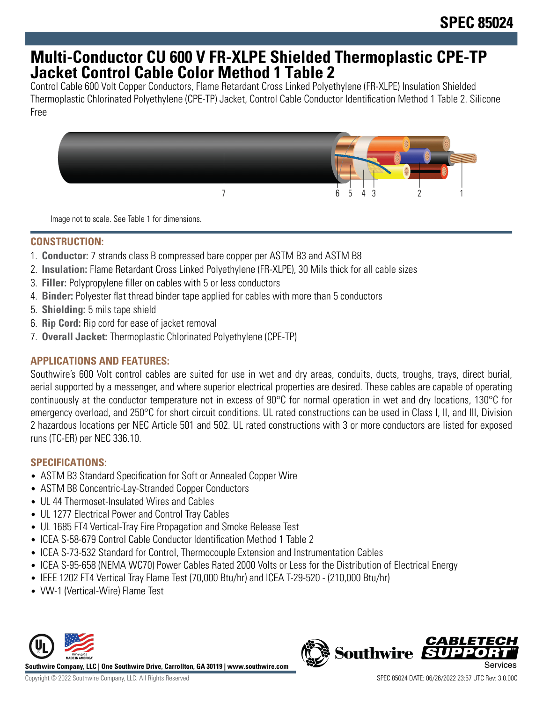## **Multi-Conductor CU 600 V FR-XLPE Shielded Thermoplastic CPE-TP Jacket Control Cable Color Method 1 Table 2**

Control Cable 600 Volt Copper Conductors, Flame Retardant Cross Linked Polyethylene (FR-XLPE) Insulation Shielded Thermoplastic Chlorinated Polyethylene (CPE-TP) Jacket, Control Cable Conductor Identification Method 1 Table 2. Silicone Free



Image not to scale. See Table 1 for dimensions.

#### **CONSTRUCTION:**

- 1. **Conductor:** 7 strands class B compressed bare copper per ASTM B3 and ASTM B8
- 2. **Insulation:** Flame Retardant Cross Linked Polyethylene (FR-XLPE), 30 Mils thick for all cable sizes
- 3. **Filler:** Polypropylene filler on cables with 5 or less conductors
- 4. **Binder:** Polyester flat thread binder tape applied for cables with more than 5 conductors
- 5. **Shielding:** 5 mils tape shield
- 6. **Rip Cord:** Rip cord for ease of jacket removal
- 7. **Overall Jacket:** Thermoplastic Chlorinated Polyethylene (CPE-TP)

## **APPLICATIONS AND FEATURES:**

Southwire's 600 Volt control cables are suited for use in wet and dry areas, conduits, ducts, troughs, trays, direct burial, aerial supported by a messenger, and where superior electrical properties are desired. These cables are capable of operating continuously at the conductor temperature not in excess of 90°C for normal operation in wet and dry locations, 130°C for emergency overload, and 250°C for short circuit conditions. UL rated constructions can be used in Class I, II, and III, Division 2 hazardous locations per NEC Article 501 and 502. UL rated constructions with 3 or more conductors are listed for exposed runs (TC-ER) per NEC 336.10.

## **SPECIFICATIONS:**

- ASTM B3 Standard Specification for Soft or Annealed Copper Wire
- ASTM B8 Concentric-Lay-Stranded Copper Conductors
- UL 44 Thermoset-Insulated Wires and Cables
- UL 1277 Electrical Power and Control Tray Cables
- UL 1685 FT4 Vertical-Tray Fire Propagation and Smoke Release Test
- ICEA S-58-679 Control Cable Conductor Identification Method 1 Table 2
- ICEA S-73-532 Standard for Control, Thermocouple Extension and Instrumentation Cables
- ICEA S-95-658 (NEMA WC70) Power Cables Rated 2000 Volts or Less for the Distribution of Electrical Energy
- IEEE 1202 FT4 Vertical Tray Flame Test (70,000 Btu/hr) and ICEA T-29-520 (210,000 Btu/hr)
- VW-1 (Vertical-Wire) Flame Test



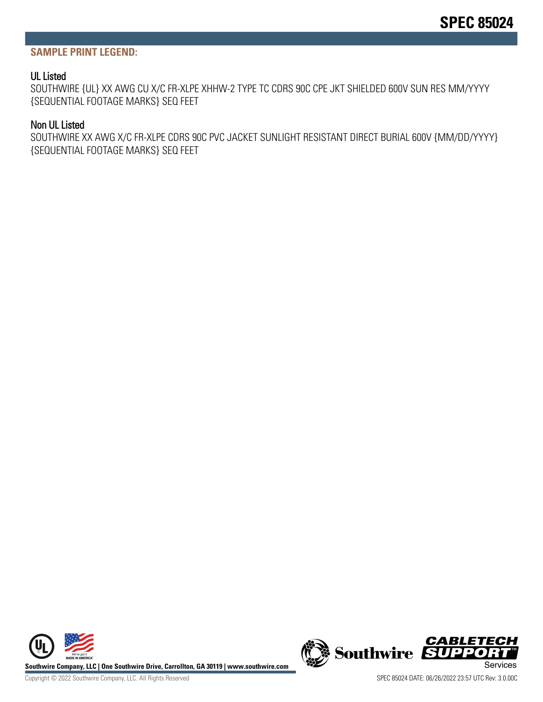#### **SAMPLE PRINT LEGEND:**

#### UL Listed

SOUTHWIRE {UL} XX AWG CU X/C FR-XLPE XHHW-2 TYPE TC CDRS 90C CPE JKT SHIELDED 600V SUN RES MM/YYYY {SEQUENTIAL FOOTAGE MARKS} SEQ FEET

#### Non UL Listed

SOUTHWIRE XX AWG X/C FR-XLPE CDRS 90C PVC JACKET SUNLIGHT RESISTANT DIRECT BURIAL 600V {MM/DD/YYYY} {SEQUENTIAL FOOTAGE MARKS} SEQ FEET



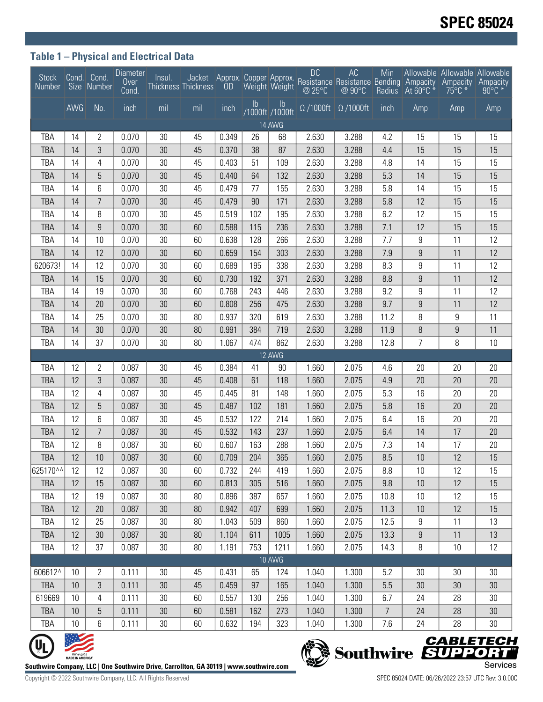## **Table 1 – Physical and Electrical Data**

| <b>Stock</b><br>Number Size Number                                               |      | Cond. Cond.    | <b>Diameter</b><br>Over<br>Cond. | Insul.          | Thickness Thickness                                                                    |       |               |                       | <b>DC</b> | AC<br>Jacket Approx. Copper Approx. Proceed Besistance Bending Ampacity<br>Thickness OD Weight Weight @ 25°C @ 90°C Radius At 60°C * | Min            |                  | Allowable Allowable Allowable<br>Ampacity Ampacity<br>$75^{\circ}$ C * | $90^{\circ}$ C * |
|----------------------------------------------------------------------------------|------|----------------|----------------------------------|-----------------|----------------------------------------------------------------------------------------|-------|---------------|-----------------------|-----------|--------------------------------------------------------------------------------------------------------------------------------------|----------------|------------------|------------------------------------------------------------------------|------------------|
|                                                                                  | AWG  | No.            | inch                             | mil             | mil                                                                                    | inch  | $\mathsf{lb}$ | Ib<br>/1000ft /1000ft |           | $\Omega$ /1000ft $\Omega$ /1000ft                                                                                                    | inch           | Amp              | Amp                                                                    | Amp              |
| 14 AWG                                                                           |      |                |                                  |                 |                                                                                        |       |               |                       |           |                                                                                                                                      |                |                  |                                                                        |                  |
| TBA                                                                              | 14   | 2              | 0.070                            | 30              | 45                                                                                     | 0.349 | 26            | 68                    | 2.630     | 3.288                                                                                                                                | 4.2            | 15               | 15                                                                     | 15               |
| <b>TBA</b>                                                                       | 14   | 3              | 0.070                            | 30              | 45                                                                                     | 0.370 | 38            | 87                    | 2.630     | 3.288                                                                                                                                | 4.4            | 15               | 15                                                                     | 15               |
| TBA                                                                              | 14   | 4              | 0.070                            | 30              | 45                                                                                     | 0.403 | 51            | 109                   | 2.630     | 3.288                                                                                                                                | 4.8            | 14               | 15                                                                     | 15               |
| <b>TBA</b>                                                                       | 14   | 5              | 0.070                            | 30              | 45                                                                                     | 0.440 | 64            | 132                   | 2.630     | 3.288                                                                                                                                | 5.3            | 14               | 15                                                                     | 15               |
| TBA                                                                              | 14   | 6              | 0.070                            | 30              | 45                                                                                     | 0.479 | 77            | 155                   | 2.630     | 3.288                                                                                                                                | 5.8            | 14               | 15                                                                     | 15               |
| <b>TBA</b>                                                                       | 14   | $\overline{7}$ | 0.070                            | 30 <sup>°</sup> | 45                                                                                     | 0.479 | 90            | 171                   | 2.630     | 3.288                                                                                                                                | 5.8            | 12               | 15                                                                     | 15               |
| TBA                                                                              | 14   | 8              | 0.070                            | 30              | 45                                                                                     | 0.519 | 102           | 195                   | 2.630     | 3.288                                                                                                                                | 6.2            | 12               | 15                                                                     | 15               |
| <b>TBA</b>                                                                       | 14   | 9              | 0.070                            | $30\,$          | 60                                                                                     | 0.588 | 115           | 236                   | 2.630     | 3.288                                                                                                                                | 7.1            | 12               | 15                                                                     | 15               |
| <b>TBA</b>                                                                       | 14   | 10             | 0.070                            | 30              | 60                                                                                     | 0.638 | 128           | 266                   | 2.630     | 3.288                                                                                                                                | 7.7            | 9                | 11                                                                     | 12               |
| <b>TBA</b>                                                                       | 14   | 12             | 0.070                            | 30              | 60                                                                                     | 0.659 | 154           | 303                   | 2.630     | 3.288                                                                                                                                | 7.9            | $\boldsymbol{9}$ | 11                                                                     | 12               |
| 620673!                                                                          | 14   | 12             | 0.070                            | $30\,$          | 60                                                                                     | 0.689 | 195           | 338                   | 2.630     | 3.288                                                                                                                                | 8.3            | 9                | 11                                                                     | 12               |
| <b>TBA</b>                                                                       | 14   | 15             | 0.070                            | 30              | 60                                                                                     | 0.730 | 192           | 371                   | 2.630     | 3.288                                                                                                                                | 8.8            | 9                | 11                                                                     | 12               |
| TBA                                                                              | 14   | 19             | 0.070                            | 30              | 60                                                                                     | 0.768 | 243           | 446                   | 2.630     | 3.288                                                                                                                                | 9.2            | 9                | 11                                                                     | 12               |
| <b>TBA</b>                                                                       | 14   | 20             | 0.070                            | $30\,$          | 60                                                                                     | 0.808 | 256           | 475                   | 2.630     | 3.288                                                                                                                                | 9.7            | 9                | 11                                                                     | 12               |
| <b>TBA</b>                                                                       | 14   | 25             | 0.070                            | $30\,$          | 80                                                                                     | 0.937 | 320           | 619                   | 2.630     | 3.288                                                                                                                                | 11.2           | 8                | 9                                                                      | 11               |
| <b>TBA</b>                                                                       | 14   | 30             | 0.070                            | $30\,$          | 80                                                                                     | 0.991 | 384           | 719                   | 2.630     | 3.288                                                                                                                                | 11.9           | 8                | $\boldsymbol{9}$                                                       | 11               |
| TBA                                                                              | 14   | 37             | 0.070                            | $30\,$          | 80                                                                                     | 1.067 | 474           | 862                   | 2.630     | 3.288                                                                                                                                | 12.8           | 7                | 8                                                                      | 10               |
| <b>TBA</b>                                                                       | 12   | 2              | 0.087                            | 30              | 45                                                                                     | 0.384 | 41            | 12 AWG<br>90          | 1.660     | 2.075                                                                                                                                | 4.6            | 20               | 20                                                                     | 20               |
| <b>TBA</b>                                                                       | 12   | 3              | 0.087                            | 30              | 45                                                                                     | 0.408 | 61            | 118                   | 1.660     | 2.075                                                                                                                                | 4.9            | 20               | 20                                                                     | 20               |
| TBA                                                                              | 12   | 4              | 0.087                            | $30\,$          | 45                                                                                     | 0.445 | 81            | 148                   | 1.660     | 2.075                                                                                                                                | 5.3            | 16               | 20                                                                     | 20               |
| TBA                                                                              | 12   | 5              | 0.087                            | 30              | 45                                                                                     | 0.487 | 102           | 181                   | 1.660     | 2.075                                                                                                                                | 5.8            | 16               | 20                                                                     | 20               |
| <b>TBA</b>                                                                       | 12   | 6              | 0.087                            | 30              | 45                                                                                     | 0.532 | 122           | 214                   | 1.660     | 2.075                                                                                                                                | 6.4            | 16               | 20                                                                     | 20               |
| <b>TBA</b>                                                                       | 12   | $\overline{7}$ | 0.087                            | $30\,$          | 45                                                                                     | 0.532 | 143           | 237                   | 1.660     | 2.075                                                                                                                                | 6.4            | 14               | 17                                                                     | 20               |
| TBA                                                                              | 12   | 8              | 0.087                            | $30\,$          | 60                                                                                     | 0.607 | 163           | 288                   | 1.660     | 2.075                                                                                                                                | 7.3            | 14               | 17                                                                     | 20               |
| <b>TBA</b>                                                                       | 12   | 10             | 0.087                            | 30              | 60                                                                                     | 0.709 | 204           | 365                   | 1.660     | 2.075                                                                                                                                | 8.5            | 10               | 12                                                                     | 15               |
| 625170^^                                                                         | 12   | 12             | 0.087                            | 30              | 60                                                                                     | 0.732 | 244           | 419                   | 1.660     | 2.075                                                                                                                                | 8.8            | 10               | 12                                                                     | 15               |
| <b>TBA</b>                                                                       | 12   | 15             | 0.087                            | 30 <sup>°</sup> | 60                                                                                     | 0.813 | 305           | 516                   | 1.660     | 2.075                                                                                                                                | 9.8            | 10               | 12                                                                     | 15               |
| <b>TBA</b>                                                                       | 12   | 19             | 0.087                            | 30              | 80                                                                                     | 0.896 | 387           | 657                   | 1.660     | 2.075                                                                                                                                | 10.8           | 10               | 12                                                                     | 15               |
| <b>TBA</b>                                                                       | 12   | 20             | 0.087                            | $30\,$          | 80                                                                                     | 0.942 | 407           | 699                   | 1.660     | 2.075                                                                                                                                | 11.3           | 10               | 12                                                                     | 15               |
| <b>TBA</b>                                                                       | 12   | 25             | 0.087                            | 30              | 80                                                                                     | 1.043 | 509           | 860                   | 1.660     | 2.075                                                                                                                                | 12.5           | 9                | 11                                                                     | 13               |
| <b>TBA</b>                                                                       | 12   | 30             | 0.087                            | 30              | 80                                                                                     | 1.104 | 611           | 1005                  | 1.660     | 2.075                                                                                                                                | 13.3           | 9                | 11                                                                     | 13               |
| <b>TBA</b>                                                                       | 12   | 37             | 0.087                            | $30\,$          | 80                                                                                     | 1.191 | 753           | 1211                  | 1.660     | 2.075                                                                                                                                | 14.3           | 8                | 10                                                                     | 12               |
| <b>10 AWG</b>                                                                    |      |                |                                  |                 |                                                                                        |       |               |                       |           |                                                                                                                                      |                |                  |                                                                        |                  |
| 606612^                                                                          | 10   | $\mathbf{2}$   | 0.111                            | 30              | 45                                                                                     | 0.431 | 65            | 124                   | 1.040     | 1.300                                                                                                                                | 5.2            | 30               | 30                                                                     | 30               |
| <b>TBA</b>                                                                       | $10$ | $\mathfrak{Z}$ | 0.111                            | 30              | 45                                                                                     | 0.459 | 97            | 165                   | 1.040     | 1.300                                                                                                                                | 5.5            | 30               | 30                                                                     | 30               |
| 619669                                                                           | 10   | 4              | 0.111                            | $30\,$          | 60                                                                                     | 0.557 | 130           | 256                   | 1.040     | 1.300                                                                                                                                | 6.7            | 24               | 28                                                                     | 30               |
| <b>TBA</b>                                                                       | 10   | 5              | 0.111                            | 30 <sup>°</sup> | 60                                                                                     | 0.581 | 162           | 273                   | 1.040     | 1.300                                                                                                                                | $\overline{7}$ | 24               | 28                                                                     | 30               |
| <b>TBA</b>                                                                       | 10   | 6              | 0.111                            | $30\,$          | 60                                                                                     | 0.632 | 194           | 323                   | 1.040     | 1.300                                                                                                                                | 7.6            | 24               | 28                                                                     | 30               |
|                                                                                  |      |                |                                  |                 |                                                                                        |       |               |                       |           |                                                                                                                                      |                |                  |                                                                        |                  |
| <b>CABLETECH</b><br>Southwire <b>EUPPORT</b><br>We've got it<br>MADE IN AMERICA" |      |                |                                  |                 |                                                                                        |       |               |                       |           |                                                                                                                                      |                |                  |                                                                        |                  |
|                                                                                  |      |                |                                  |                 | outhwire Company. LLC   One Southwire Drive. Carrollton. GA 30119   www.southwire.com' |       |               |                       |           |                                                                                                                                      |                |                  |                                                                        | Services         |



**Southwire Company, LLC | One Southwire Drive, Carrollton, GA 30119 | www.southwire.com**